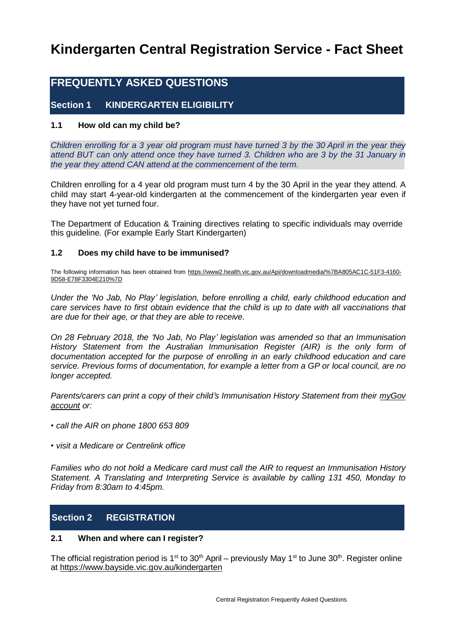# **Kindergarten Central Registration Service - Fact Sheet**

# **FREQUENTLY ASKED QUESTIONS**

# **Section 1 KINDERGARTEN ELIGIBILITY**

#### **1.1 How old can my child be?**

Children enrolling for a 3 year old program must have turned 3 by the 30 April in the year they *attend BUT can only attend once they have turned 3. Children who are 3 by the 31 January in the year they attend CAN attend at the commencement of the term.*

Children enrolling for a 4 year old program must turn 4 by the 30 April in the year they attend. A child may start 4-year-old kindergarten at the commencement of the kindergarten year even if they have not yet turned four.

The Department of Education & Training directives relating to specific individuals may override this guideline. (For example Early Start Kindergarten)

#### **1.2 Does my child have to be immunised?**

The following information has been obtained from [https://www2.health.vic.gov.au/Api/downloadmedia/%7BA805AC1C-51F3-4160-](https://www2.health.vic.gov.au/Api/downloadmedia/%7BA805AC1C-51F3-4160-9D58-E78F3304E210%7D) [9D58-E78F3304E210%7D](https://www2.health.vic.gov.au/Api/downloadmedia/%7BA805AC1C-51F3-4160-9D58-E78F3304E210%7D)

*Under the 'No Jab, No Play' legislation, before enrolling a child, early childhood education and care services have to first obtain evidence that the child is up to date with all vaccinations that are due for their age, or that they are able to receive.*

*On 28 February 2018, the 'No Jab, No Play' legislation was amended so that an Immunisation History Statement from the Australian Immunisation Register (AIR) is the only form of documentation accepted for the purpose of enrolling in an early childhood education and care service. Previous forms of documentation, for example a letter from a GP or local council, are no longer accepted.*

*Parents/carers can print a copy of their child's Immunisation History Statement from their [myGov](https://my.gov.au/LoginServices/main/login?execution=e1s1) [account](https://my.gov.au/LoginServices/main/login?execution=e1s1) or:*

- *• call the AIR on phone 1800 653 809*
- *• visit a Medicare or Centrelink office*

*Families who do not hold a Medicare card must call the AIR to request an Immunisation History Statement. A Translating and Interpreting Service is available by calling 131 450, Monday to Friday from 8:30am to 4:45pm.*

# **Section 2 REGISTRATION**

#### **2.1 When and where can I register?**

The official registration period is 1<sup>st</sup> to 30<sup>th</sup> April – previously May 1<sup>st</sup> to June 30<sup>th</sup>. Register online at<https://www.bayside.vic.gov.au/kindergarten>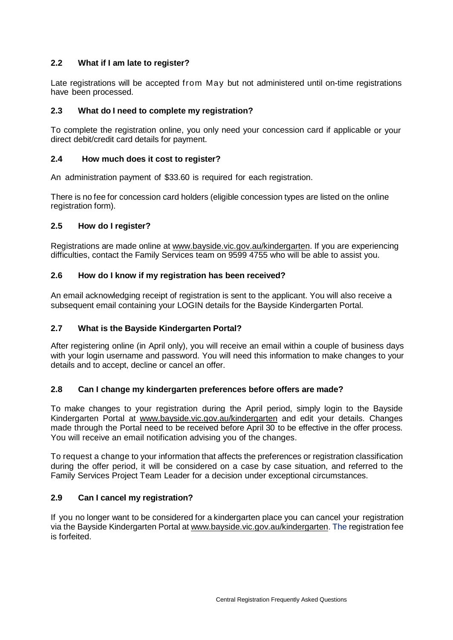## **2.2 What if I am late to register?**

Late registrations will be accepted from May but not administered until on-time registrations have been processed.

## **2.3 What do I need to complete my registration?**

To complete the registration online, you only need your concession card if applicable or your direct debit/credit card details for payment.

#### **2.4 How much does it cost to register?**

An administration payment of \$33.60 is required for each registration.

There is no fee for concession card holders (eligible concession types are listed on the online registration form).

#### **2.5 How do I register?**

Registrations are made online at [www.bayside.vic.gov.au/kindergarten.](http://www.bayside.vic.gov.au/kindergarten) If you are experiencing difficulties, contact the Family Services team on 9599 4755 who will be able to assist you.

#### **2.6 How do I know if my registration has been received?**

An email acknowledging receipt of registration is sent to the applicant. You will also receive a subsequent email containing your LOGIN details for the Bayside Kindergarten Portal.

#### **2.7 What is the Bayside Kindergarten Portal?**

After registering online (in April only), you will receive an email within a couple of business days with your login username and password. You will need this information to make changes to your details and to accept, decline or cancel an offer.

#### **2.8 Can I change my kindergarten preferences before offers are made?**

To make changes to your registration during the April period, simply login to the Bayside Kindergarten Portal at [www.bayside.vic.gov.au/kindergarten](http://www.bayside.vic.gov.au/kindergarten) and edit your details. Changes made through the Portal need to be received before April 30 to be effective in the offer process. You will receive an email notification advising you of the changes.

To request a change to your information that affects the preferences or registration classification during the offer period, it will be considered on a case by case situation, and referred to the Family Services Project Team Leader for a decision under exceptional circumstances.

#### **2.9 Can I cancel my registration?**

If you no longer want to be considered for a kindergarten place you can cancel your registration via the Bayside Kindergarten Portal at [www.bayside.vic.gov.au/kindergarten.](http://www.bayside.vic.gov.au/kindergarten) The registration fee is forfeited.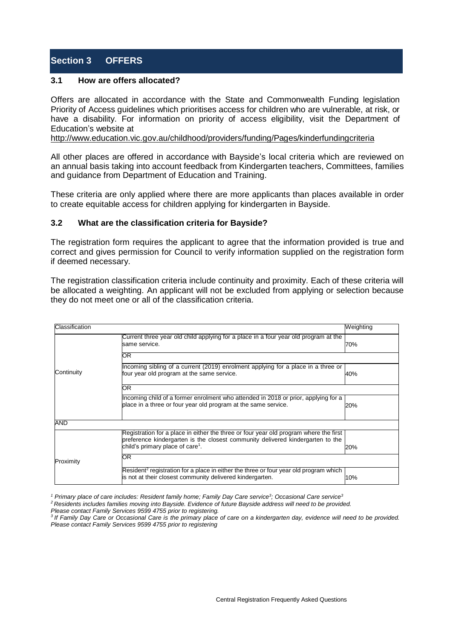# **Section 3 OFFERS**

#### **3.1 How are offers allocated?**

Offers are allocated in accordance with the State and Commonwealth Funding legislation Priority of Access guidelines which prioritises access for children who are vulnerable, at risk, or have a disability. For information on priority of access eligibility, visit the Department of Education's website at

<http://www.education.vic.gov.au/childhood/providers/funding/Pages/kinderfundingcriteria>

All other places are offered in accordance with Bayside's local criteria which are reviewed on an annual basis taking into account feedback from Kindergarten teachers, Committees, families and guidance from Department of Education and Training.

These criteria are only applied where there are more applicants than places available in order to create equitable access for children applying for kindergarten in Bayside.

#### **3.2 What are the classification criteria for Bayside?**

The registration form requires the applicant to agree that the information provided is true and correct and gives permission for Council to verify information supplied on the registration form if deemed necessary.

The registration classification criteria include continuity and proximity. Each of these criteria will be allocated a weighting. An applicant will not be excluded from applying or selection because they do not meet one or all of the classification criteria.

| Classification |                                                                                                                                                                                                                         | Weighting |
|----------------|-------------------------------------------------------------------------------------------------------------------------------------------------------------------------------------------------------------------------|-----------|
|                | Current three year old child applying for a place in a four year old program at the<br>same service.                                                                                                                    | 70%       |
| Continuity     | OR.                                                                                                                                                                                                                     |           |
|                | Incoming sibling of a current (2019) enrolment applying for a place in a three or<br>four year old program at the same service.                                                                                         | 40%       |
|                | OR.                                                                                                                                                                                                                     |           |
|                | Incoming child of a former enrolment who attended in 2018 or prior, applying for a<br>place in a three or four year old program at the same service.                                                                    | 20%       |
| AND            |                                                                                                                                                                                                                         |           |
|                | Registration for a place in either the three or four year old program where the first<br>preference kindergarten is the closest community delivered kindergarten to the<br>child's primary place of care <sup>1</sup> . | 20%       |
| Proximity      | OR.                                                                                                                                                                                                                     |           |
|                | Resident <sup>2</sup> registration for a place in either the three or four year old program which<br>is not at their closest community delivered kindergarten.                                                          | 10%       |

<sup>1</sup> Primary place of care includes: Resident family home; Family Day Care service<sup>3</sup>; Occasional Care service<sup>3</sup>

<sup>2</sup> Residents includes families moving into Bayside. Evidence of future Bayside address will need to be provided.

*Please contact Family Services 9599 4755 prior to registering.*

<sup>3</sup> If Family Day Care or Occasional Care is the primary place of care on a kindergarten day, evidence will need to be provided. *Please contact Family Services 9599 4755 prior to registering*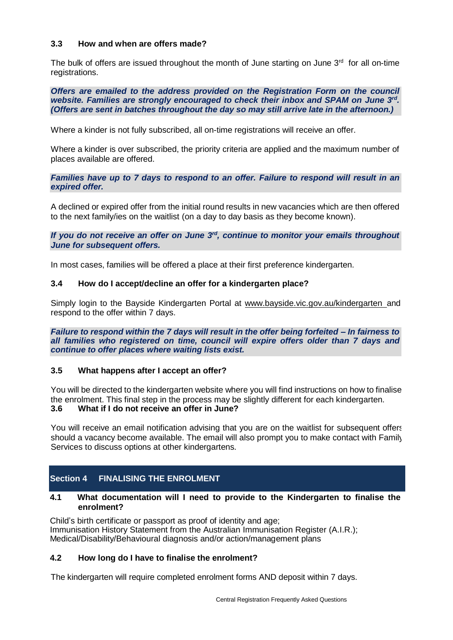#### **3.3 How and when are offers made?**

The bulk of offers are issued throughout the month of June starting on June  $3<sup>rd</sup>$  for all on-time registrations.

*Offers are emailed to the address provided on the Registration Form on the council website. Families are strongly encouraged to check their inbox and SPAM on June 3 rd . (Offers are sent in batches throughout the day so may still arrive late in the afternoon.)*

Where a kinder is not fully subscribed, all on-time registrations will receive an offer.

Where a kinder is over subscribed, the priority criteria are applied and the maximum number of places available are offered.

*Families have up to 7 days to respond to an offer. Failure to respond will result in an expired offer.*

A declined or expired offer from the initial round results in new vacancies which are then offered to the next family/ies on the waitlist (on a day to day basis as they become known).

*If you do not receive an offer on June 3 rd , continue to monitor your emails throughout June for subsequent offers.*

In most cases, families will be offered a place at their first preference kindergarten.

#### **3.4 How do I accept/decline an offer for a kindergarten place?**

Simply login to the Bayside Kindergarten Portal at [www.bayside.vic.gov.au/kindergarten](http://www.bayside.vic.gov.au/kindergarten) and respond to the offer within 7 days.

*Failure to respond within the 7 days will result in the offer being forfeited – In fairness to all families who registered on time, council will expire offers older than 7 days and continue to offer places where waiting lists exist.*

#### **3.5 What happens after I accept an offer?**

You will be directed to the kindergarten website where you will find instructions on how to finalise the enrolment. This final step in the process may be slightly different for each kindergarten. **3.6 What if I do not receive an offer in June?**

You will receive an email notification advising that you are on the waitlist for subsequent offers should a vacancy become available. The email will also prompt you to make contact with Family Services to discuss options at other kindergartens.

## **Section 4 FINALISING THE ENROLMENT**

#### **4.1 What documentation will I need to provide to the Kindergarten to finalise the enrolment?**

Child's birth certificate or passport as proof of identity and age; Immunisation History Statement from the Australian Immunisation Register (A.I.R.); Medical/Disability/Behavioural diagnosis and/or action/management plans

#### **4.2 How long do I have to finalise the enrolment?**

The kindergarten will require completed enrolment forms AND deposit within 7 days.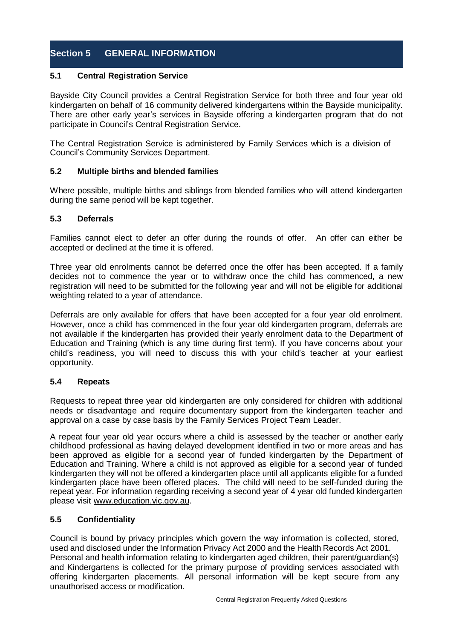# **Section 5 GENERAL INFORMATION**

### **5.1 Central Registration Service**

Bayside City Council provides a Central Registration Service for both three and four year old kindergarten on behalf of 16 community delivered kindergartens within the Bayside municipality. There are other early year's services in Bayside offering a kindergarten program that do not participate in Council's Central Registration Service.

The Central Registration Service is administered by Family Services which is a division of Council's Community Services Department.

## **5.2 Multiple births and blended families**

Where possible, multiple births and siblings from blended families who will attend kindergarten during the same period will be kept together.

#### **5.3 Deferrals**

Families cannot elect to defer an offer during the rounds of offer. An offer can either be accepted or declined at the time it is offered.

Three year old enrolments cannot be deferred once the offer has been accepted. If a family decides not to commence the year or to withdraw once the child has commenced, a new registration will need to be submitted for the following year and will not be eligible for additional weighting related to a year of attendance.

Deferrals are only available for offers that have been accepted for a four year old enrolment. However, once a child has commenced in the four year old kindergarten program, deferrals are not available if the kindergarten has provided their yearly enrolment data to the Department of Education and Training (which is any time during first term). If you have concerns about your child's readiness, you will need to discuss this with your child's teacher at your earliest opportunity.

#### **5.4 Repeats**

Requests to repeat three year old kindergarten are only considered for children with additional needs or disadvantage and require documentary support from the kindergarten teacher and approval on a case by case basis by the Family Services Project Team Leader.

A repeat four year old year occurs where a child is assessed by the teacher or another early childhood professional as having delayed development identified in two or more areas and has been approved as eligible for a second year of funded kindergarten by the Department of Education and Training. Where a child is not approved as eligible for a second year of funded kindergarten they will not be offered a kindergarten place until all applicants eligible for a funded kindergarten place have been offered places. The child will need to be self-funded during the repeat year. For information regarding receiving a second year of 4 year old funded kindergarten please visit [www.education.vic.gov.au.](http://www.education.vic.gov.au/)

## **5.5 Confidentiality**

Council is bound by privacy principles which govern the way information is collected, stored, used and disclosed under the Information Privacy Act 2000 and the Health Records Act 2001. Personal and health information relating to kindergarten aged children, their parent/guardian(s) and Kindergartens is collected for the primary purpose of providing services associated with offering kindergarten placements. All personal information will be kept secure from any unauthorised access or modification.